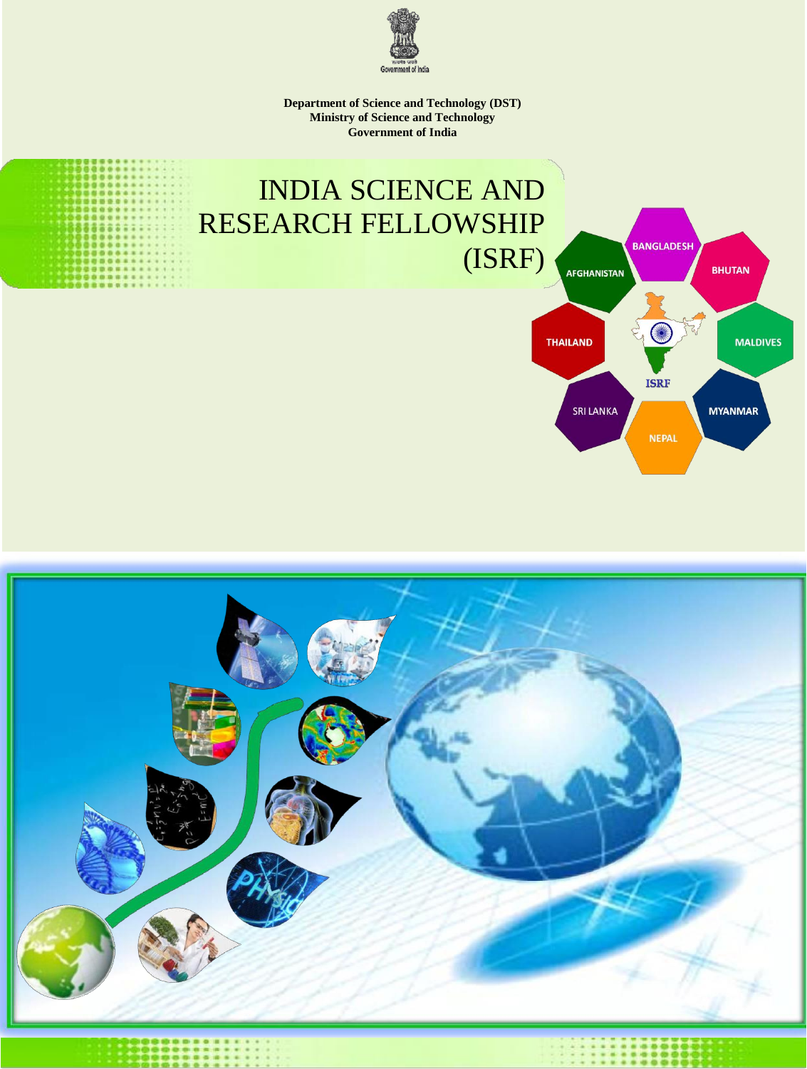

**Department of Science and Technology (DST) Ministry of Science and Technology Government of India**

# INDIA SCIENCE AND RESEARCH FELLOWSHIP (ISRF)



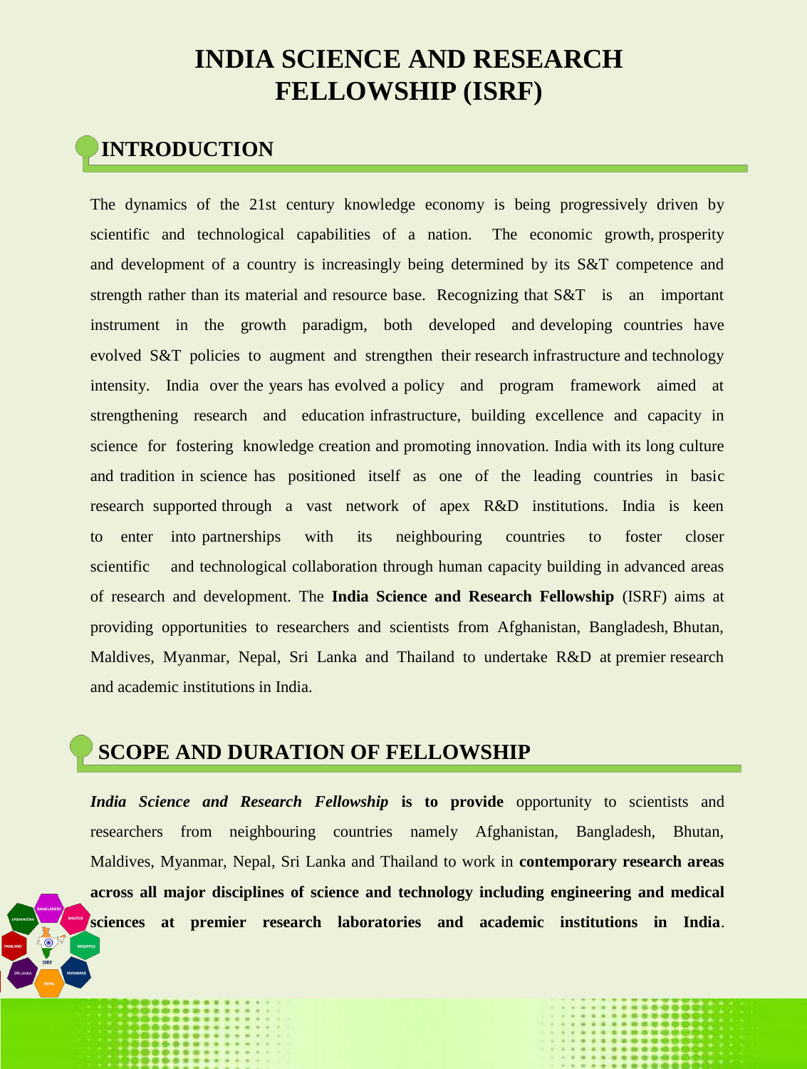# **INDIA SCIENCE AND RESEARCH FELLOWSHIP (ISRF)**

# **INTRODUCTION**

The dynamics of the 21st century knowledge economy is being progressively driven by scientific and technological capabilities of a nation. The economic growth, prosperity and development of a country is increasingly being determined by its S&T competence and strength rather than its material and resource base. Recognizing that S&T is an important instrument in the growth paradigm, both developed and developing countries have evolved S&T policies to augment and strengthen their research infrastructure and technology intensity. India over the years has evolved a policy and program framework aimed at strengthening research and education infrastructure, building excellence and capacity in science for fostering knowledge creation and promoting innovation. India with its long culture and tradition in science has positioned itself as one of the leading countries in basic research supported through a vast network of apex R&D institutions. India is keen to enter into partnerships with its neighbouring countries to foster closer scientific and technological collaboration through human capacity building in advanced areas of research and development. The **India Science and Research Fellowship** (ISRF) aims at providing opportunities to researchers and scientists from Afghanistan, Bangladesh, Bhutan, Maldives, Myanmar, Nepal, Sri Lanka and Thailand to undertake R&D at premier research and academic institutions in India.

# **SCOPE AND DURATION OF FELLOWSHIP**

researchers from neighbouring countries namely Afghanistan, Bangladesh, Bhutan, *India Science and Research Fellowship* **is to provide** opportunity to scientists and Maldives, Myanmar, Nepal, Sri Lanka and Thailand to work in **contemporary research areas across all major disciplines of science and technology including engineering and medical sciences at premier research laboratories and academic institutions in India**.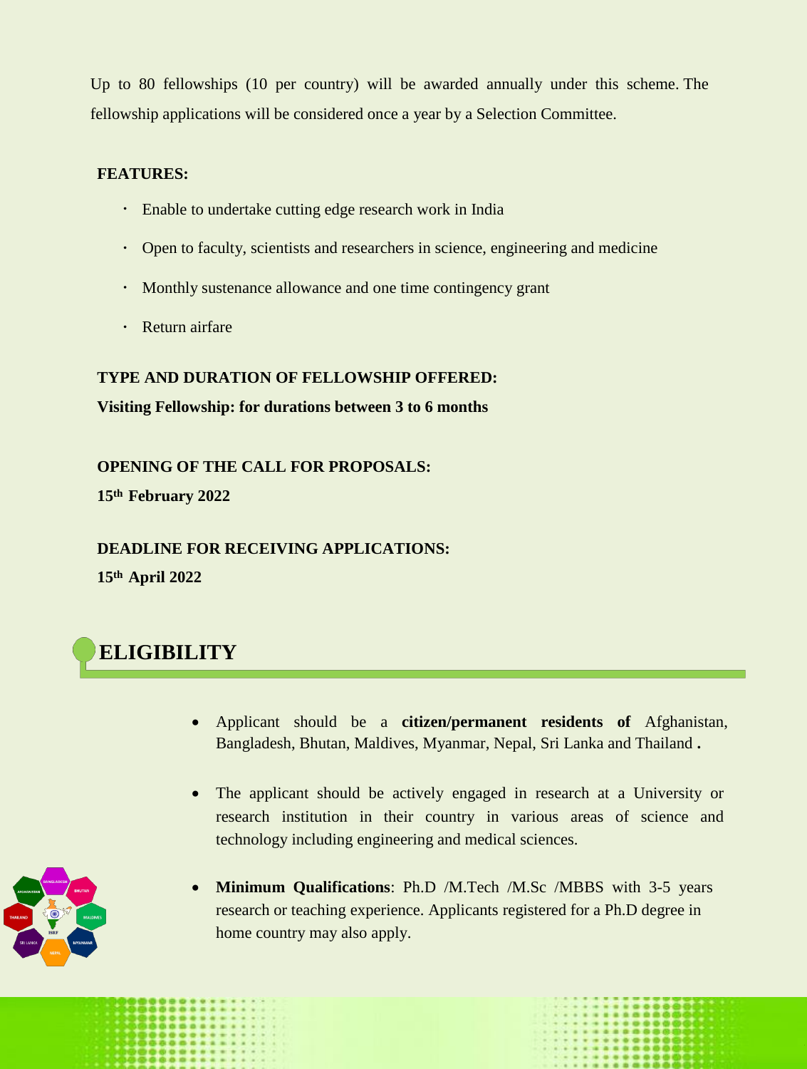Up to 80 fellowships (10 per country) will be awarded annually under this scheme. The fellowship applications will be considered once a year by a Selection Committee.

#### **FEATURES:**

- Enable to undertake cutting edge research work in India
- Open to faculty, scientists and researchers in science, engineering and medicine
- Monthly sustenance allowance and one time contingency grant
- Return airfare

### **TYPE AND DURATION OF FELLOWSHIP OFFERED:**

### **Visiting Fellowship: for durations between 3 to 6 months**

**OPENING OF THE CALL FOR PROPOSALS:**

**15th February 2022**

## **DEADLINE FOR RECEIVING APPLICATIONS:**

**15th April 2022**



- Applicant should be a **citizen/permanent residents of** Afghanistan, Bangladesh, Bhutan, Maldives, Myanmar, Nepal, Sri Lanka and Thailand **.**
- The applicant should be actively engaged in research at a University or research institution in their country in various areas of science and technology including engineering and medical sciences.



 **Minimum Qualifications**: Ph.D /M.Tech /M.Sc /MBBS with 3-5 years research or teaching experience. Applicants registered for a Ph.D degree in home country may also apply.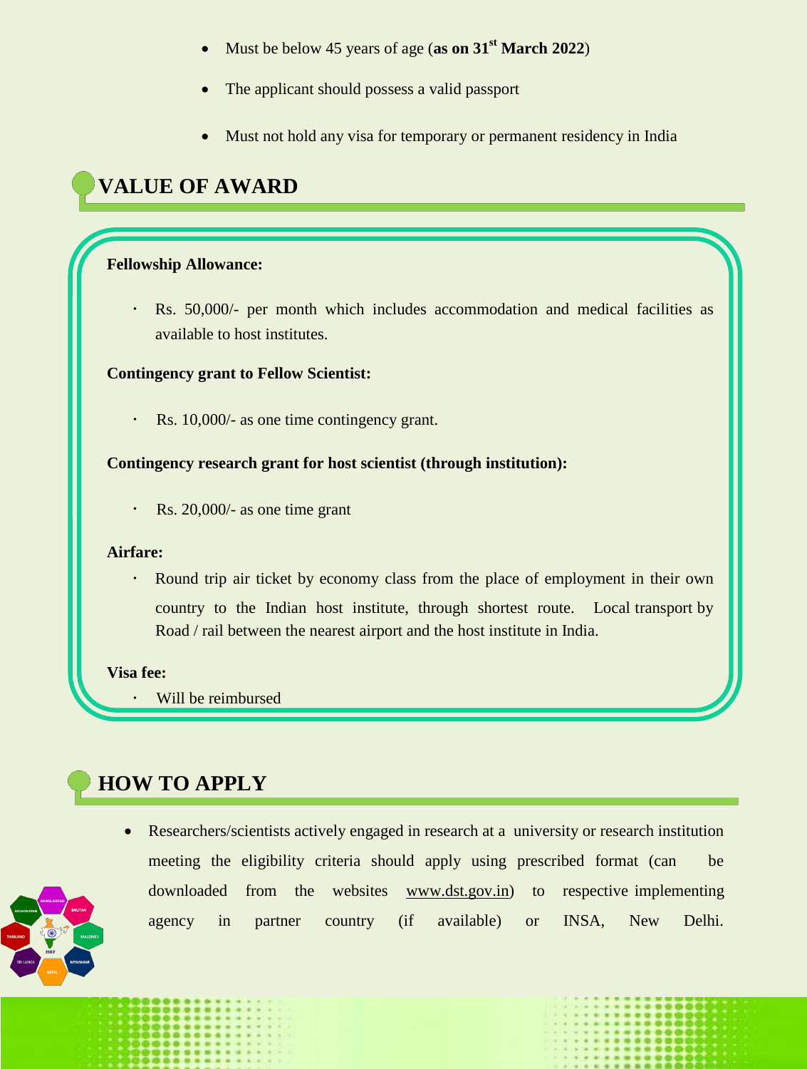- Must be below 45 years of age (**as on 31st March 2022**)
- The applicant should possess a valid passport
- Must not hold any visa for temporary or permanent residency in India

# **VALUE OF AWARD: VALUE OF AWARD**

#### **Fellowship Allowance:**

Rs. 50,000/- per month which includes accommodation and medical facilities as available to host institutes.

#### **Contingency grant to Fellow Scientist:**

 $\ddot{\phantom{0}}$ Rs. 10,000/- as one time contingency grant.

#### **Contingency research grant for host scientist (through institution):**

Rs. 20,000/- as one time grant  $\bullet$ 

#### **Airfare:**

Round trip air ticket by economy class from the place of employment in their own country to the Indian host institute, through shortest route. Local transport by Road / rail between the nearest airport and the host institute in India.

#### **Visa fee:**

Will be reimbursed

# **HOW TO APPLY**



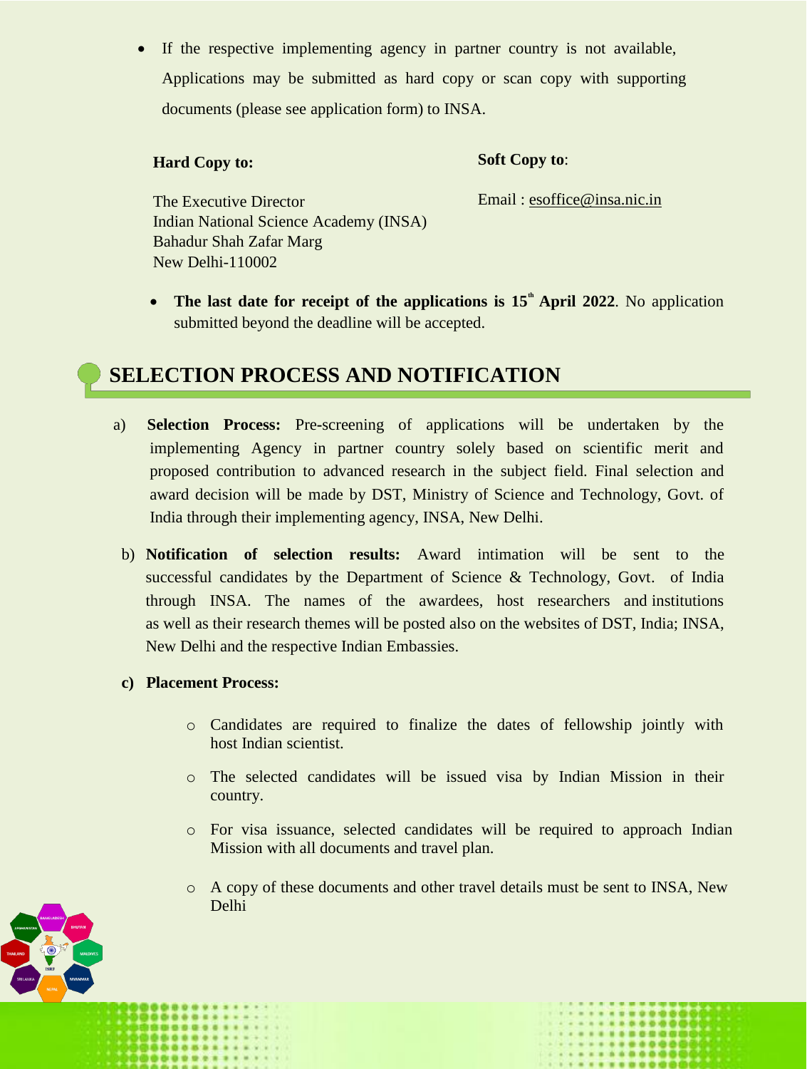If the respective implementing agency in partner country is not available, Applications may be submitted as hard copy or scan copy with supporting documents (please see application form) to INSA.

#### **Hard Copy to:**

#### **Soft Copy to**:

Email : [esoffice@insa.nic.in](mailto:esoffice@insa.nic.in)

The Executive Director Indian National Science Academy (INSA) Bahadur Shah Zafar Marg New Delhi-110002

• The last date for receipt of the applications is 15<sup>th</sup> **April 2022**. No application submitted beyond the deadline will be accepted.

# **SELECTION PROCESS AND NOTIFICATION: SELECTION PROCESS AND NOTIFICATION**

- a) **Selection Process:** Pre**-**screening of applications will be undertaken by the implementing Agency in partner country solely based on scientific merit and proposed contribution to advanced research in the subject field. Final selection and award decision will be made by DST, Ministry of Science and Technology, Govt. of India through their implementing agency, INSA, New Delhi.
- b) **Notification of selection results:** Award intimation will be sent to the successful candidates by the Department of Science & Technology, Govt. of India through INSA. The names of the awardees, host researchers and institutions as well as their research themes will be posted also on the websites of DST, India; INSA, New Delhi and the respective Indian Embassies.
- **c) Placement Process:**
	- o Candidates are required to finalize the dates of fellowship jointly with host Indian scientist.
	- o The selected candidates will be issued visa by Indian Mission in their country.
	- o For visa issuance, selected candidates will be required to approach Indian Mission with all documents and travel plan.
	- $\circ$  A copy of these documents and other travel details must be sent to INSA, New Delhi

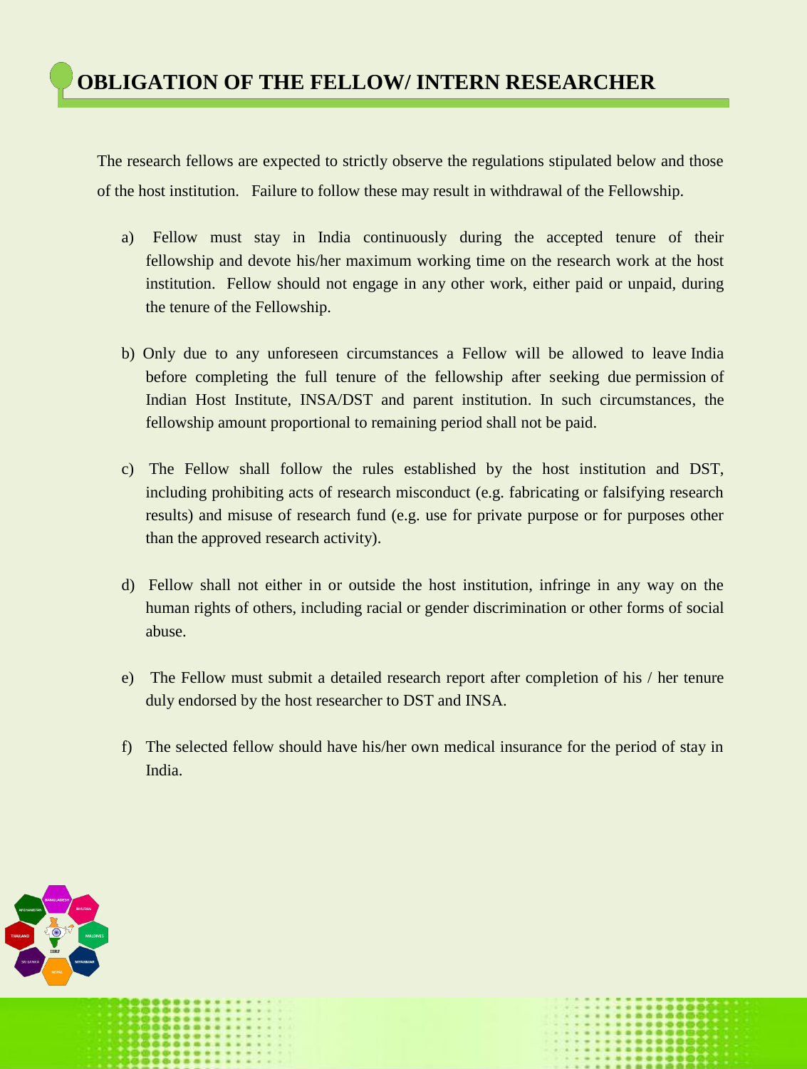The research fellows are expected to strictly observe the regulations stipulated below and those of the host institution. Failure to follow these may result in withdrawal of the Fellowship.

- a) Fellow must stay in India continuously during the accepted tenure of their fellowship and devote his/her maximum working time on the research work at the host institution. Fellow should not engage in any other work, either paid or unpaid, during the tenure of the Fellowship.
- b) Only due to any unforeseen circumstances a Fellow will be allowed to leave India before completing the full tenure of the fellowship after seeking due permission of Indian Host Institute, INSA/DST and parent institution. In such circumstances, the fellowship amount proportional to remaining period shall not be paid.
- c) The Fellow shall follow the rules established by the host institution and DST, including prohibiting acts of research misconduct (e.g. fabricating or falsifying research results) and misuse of research fund (e.g. use for private purpose or for purposes other than the approved research activity).
- d) Fellow shall not either in or outside the host institution, infringe in any way on the human rights of others, including racial or gender discrimination or other forms of social abuse.
- e) The Fellow must submit a detailed research report after completion of his / her tenure duly endorsed by the host researcher to DST and INSA.
- f) The selected fellow should have his/her own medical insurance for the period of stay in India.

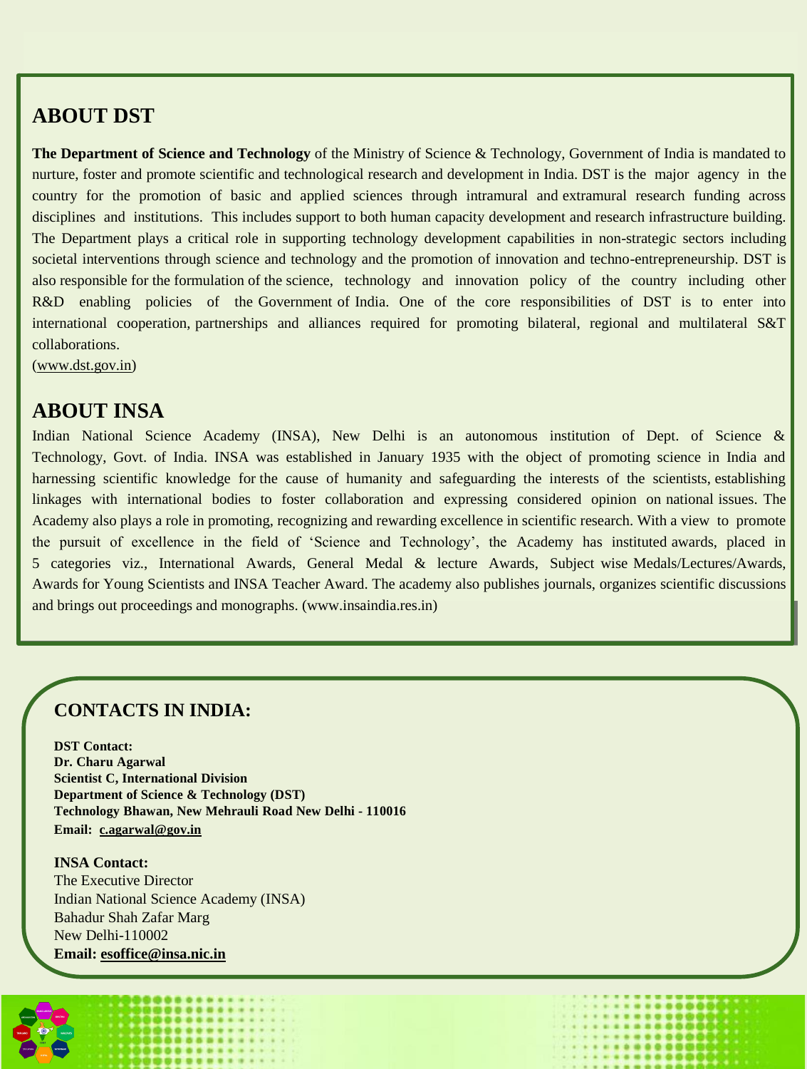# **ABOUT DST**

**The Department of Science and Technology** of the Ministry of Science & Technology, Government of India is mandated to nurture, foster and promote scientific and technological research and development in India. DST is the major agency in the country for the promotion of basic and applied sciences through intramural and extramural research funding across disciplines and institutions. This includes support to both human capacity development and research infrastructure building. The Department plays a critical role in supporting technology development capabilities in non-strategic sectors including societal interventions through science and technology and the promotion of innovation and techno-entrepreneurship. DST is also responsible for the formulation of the science, technology and innovation policy of the country including other R&D enabling policies of the Government of India. One of the core responsibilities of DST is to enter into international cooperation, partnerships and alliances required for promoting bilateral, regional and multilateral S&T collaborations.

[\(www.dst.gov.in\)](http://www.dst.gov.in/)

## **ABOUT INSA**

Indian National Science Academy (INSA), New Delhi is an autonomous institution of Dept. of Science & Technology, Govt. of India. INSA was established in January 1935 with the object of promoting science in India and harnessing scientific knowledge for the cause of humanity and safeguarding the interests of the scientists, establishing linkages with international bodies to foster collaboration and expressing considered opinion on national issues. The Academy also plays a role in promoting, recognizing and rewarding excellence in scientific research. With a view to promote the pursuit of excellence in the field of 'Science and Technology', the Academy has instituted awards, placed in 5 categories viz., International Awards, General Medal & lecture Awards, Subject wise Medals/Lectures/Awards, Awards for Young Scientists and INSA Teacher Award. The academy also publishes journals, organizes scientific discussions and brings out proceedings and monographs. (www.insaindia.res.in)

## **CONTACTS IN INDIA:**

**DST Contact: Dr. Charu Agarwal Scientist C, International Division Department of Science & Technology (DST) Technology Bhawan, New Mehrauli Road New Delhi - 110016 Email: [c.agarwal@gov.in](mailto:agarwal@gov.in)**

**INSA Contact:** The Executive Director Indian National Science Academy (INSA) Bahadur Shah Zafar Marg New Delhi-110002 **Email: [esoffice@insa.nic.in](mailto:esoffice@insa.nic.in)**